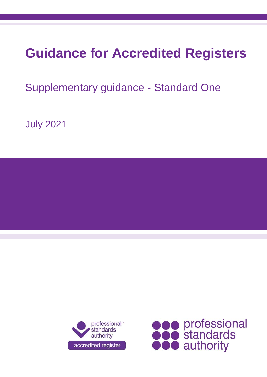# **Guidance for Accredited Registers**

Supplementary guidance - Standard One

July 2021



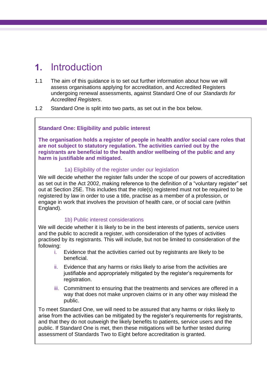# **1.** Introduction

- 1.1 The aim of this guidance is to set out further information about how we will assess organisations applying for accreditation, and Accredited Registers undergoing renewal assessments, against Standard One of our *Standards for Accredited Registers*.
- 1.2 Standard One is split into two parts, as set out in the box below.

### **Standard One: Eligibility and public interest**

**The organisation holds a register of people in health and/or social care roles that are not subject to statutory regulation. The activities carried out by the registrants are beneficial to the health and/or wellbeing of the public and any harm is justifiable and mitigated.**

### 1a) Eligibility of the register under our legislation

We will decide whether the register falls under the scope of our powers of accreditation as set out in the Act 2002, making reference to the definition of a "voluntary register" set out at Section 25E. This includes that the role(s) registered must not be required to be registered by law in order to use a title, practise as a member of a profession, or engage in work that involves the provision of health care, or of social care (within England).

### 1b) Public interest considerations

We will decide whether it is likely to be in the best interests of patients, service users and the public to accredit a register, with consideration of the types of activities practised by its registrants. This will include, but not be limited to consideration of the following:

- i. Evidence that the activities carried out by registrants are likely to be beneficial.
- ii. Evidence that any harms or risks likely to arise from the activities are justifiable and appropriately mitigated by the register's requirements for registration.
- iii. Commitment to ensuring that the treatments and services are offered in a way that does not make unproven claims or in any other way mislead the public.

To meet Standard One, we will need to be assured that any harms or risks likely to arise from the activities can be mitigated by the register's requirements for registrants, and that they do not outweigh the likely benefits to patients, service users and the public. If Standard One is met, then these mitigations will be further tested during assessment of Standards Two to Eight before accreditation is granted.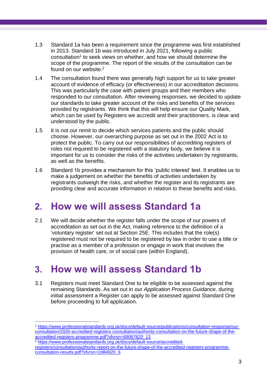- 1.3 Standard 1a has been a requirement since the programme was first established in 2013. Standard 1b was introduced in July 2021, following a public consultation<sup>1</sup> to seek views on whether, and how we should determine the scope of the programme. The report of the results of the consultation can be found on our website. 2
- 1.4 The consultation found there was generally high support for us to take greater account of evidence of efficacy (or effectiveness) in our accreditation decisions. This was particularly the case with patient groups and their members who responded to our consultation. After reviewing responses, we decided to update our standards to take greater account of the risks and benefits of the services provided by registrants. We think that this will help ensure our Quality Mark, which can be used by Registers we accredit and their practitioners, is clear and understood by the public.
- 1.5 It is not our remit to decide which services patients and the public should choose. However, our overarching purpose as set out in the 2002 Act is to protect the public. To carry out our responsibilities of accrediting registers of roles not required to be registered with a statutory body, we believe it is important for us to consider the risks of the activities undertaken by registrants, as well as the benefits.
- 1.6 Standard 1b provides a mechanism for this 'public interest' test. It enables us to make a judgement on whether the benefits of activities undertaken by registrants outweigh the risks, and whether the register and its registrants are providing clear and accurate information in relation to these benefits and risks.

# **2. How we will assess Standard 1a**

2.1 We will decide whether the register falls under the scope of our powers of accreditation as set out in the Act, making reference to the definition of a 'voluntary register' set out at Section 25E. This includes that the role(s) registered must not be required to be registered by law in order to use a title or practise as a member of a profession or engage in work that involves the provision of health care, or of social care (within England).

# **3. How we will assess Standard 1b**

3.1 Registers must meet Standard One to be eligible to be assessed against the remaining Standards. As set out in our *Application Process Guidance,* during initial assessment a Register can apply to be assessed against Standard One before proceeding to full application.

<sup>1</sup> [https://www.professionalstandards.org.uk/docs/default-source/publications/consultation-response/our](https://www.professionalstandards.org.uk/docs/default-source/publications/consultation-response/our-consultation/2020-accredited-registers-consultation/authority-consultation-on-the-future-shape-of-the-accredited-registers-programme.pdf?sfvrsn=69067620_13)[consultation/2020-accredited-registers-consultation/authority-consultation-on-the-future-shape-of-the](https://www.professionalstandards.org.uk/docs/default-source/publications/consultation-response/our-consultation/2020-accredited-registers-consultation/authority-consultation-on-the-future-shape-of-the-accredited-registers-programme.pdf?sfvrsn=69067620_13)[accredited-registers-programme.pdf?sfvrsn=69067620\\_13](https://www.professionalstandards.org.uk/docs/default-source/publications/consultation-response/our-consultation/2020-accredited-registers-consultation/authority-consultation-on-the-future-shape-of-the-accredited-registers-programme.pdf?sfvrsn=69067620_13)

<sup>2</sup> [https://www.professionalstandards.org.uk/docs/default-source/accredited](https://www.professionalstandards.org.uk/docs/default-source/accredited-registers/consultation/authority-report-on-the-future-shape-of-the-accredited-registers-programme-consultation-results.pdf?sfvrsn=2d84920_6)[registers/consultation/authority-report-on-the-future-shape-of-the-accredited-registers-programme](https://www.professionalstandards.org.uk/docs/default-source/accredited-registers/consultation/authority-report-on-the-future-shape-of-the-accredited-registers-programme-consultation-results.pdf?sfvrsn=2d84920_6)[consultation-results.pdf?sfvrsn=2d84920\\_6](https://www.professionalstandards.org.uk/docs/default-source/accredited-registers/consultation/authority-report-on-the-future-shape-of-the-accredited-registers-programme-consultation-results.pdf?sfvrsn=2d84920_6)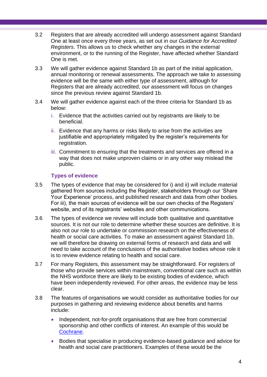- 3.2 Registers that are already accredited will undergo assessment against Standard One at least once every three years, as set out in our *Guidance for Accredited Registers*. This allows us to check whether any changes in the external environment, or to the running of the Register, have affected whether Standard One is met.
- 3.3 We will gather evidence against Standard 1b as part of the initial application, annual monitoring or renewal assessments. The approach we take to assessing evidence will be the same with either type of assessment, although for Registers that are already accredited, our assessment will focus on changes since the previous review against Standard 1b.
- 3.4 We will gather evidence against each of the three criteria for Standard 1b as below:
	- i. Evidence that the activities carried out by registrants are likely to be beneficial.
	- ii. Evidence that any harms or risks likely to arise from the activities are justifiable and appropriately mitigated by the register's requirements for registration.
	- iii. Commitment to ensuring that the treatments and services are offered in a way that does not make unproven claims or in any other way mislead the public.

# **Types of evidence**

- 3.5 The types of evidence that may be considered for i) and ii) will include material gathered from sources including the Register, stakeholders through our 'Share Your Experience' process, and published research and data from other bodies. For iii), the main sources of evidence will be our own checks of the Registers' website, and of its registrants' websites and other communications.
- 3.6 The types of evidence we review will include both qualitative and quantitative sources. It is not our role to determine whether these sources are definitive. It is also not our role to undertake or commission research on the effectiveness of health or social care activities. To make an assessment against Standard 1b, we will therefore be drawing on external forms of research and data and will need to take account of the conclusions of the authoritative bodies whose role it is to review evidence relating to health and social care.
- 3.7 For many Registers, this assessment may be straightforward. For registers of those who provide services within mainstream, conventional care such as within the NHS workforce there are likely to be existing bodies of evidence, which have been independently reviewed. For other areas, the evidence may be less clear.
- 3.8 The features of organisations we would consider as authoritative bodies for our purposes in gathering and reviewing evidence about benefits and harms include:
	- Independent, not-for-profit organisations that are free from commercial sponsorship and other conflicts of interest. An example of this would be [Cochrane.](https://uk.cochrane.org/)
	- Bodies that specialise in producing evidence-based guidance and advice for health and social care practitioners. Examples of these would be the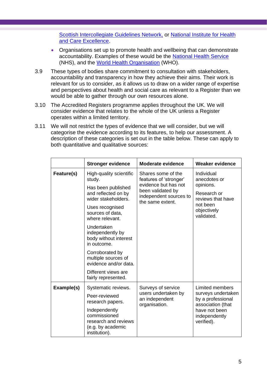[Scottish Intercollegiate Guidelines Network,](https://www.sign.ac.uk/) or [National Institute for Health](https://www.nice.org.uk/)  and Care [Excellence.](https://www.nice.org.uk/)

- Organisations set up to promote health and wellbeing that can demonstrate accountability. Examples of these would be the [National Health Service](https://www.nhs.uk/) (NHS), and the [World Health Organisation](https://www.who.int/) (WHO).
- 3.9 These types of bodies share commitment to consultation with stakeholders, accountability and transparency in how they achieve their aims. Their work is relevant for us to consider, as it allows us to draw on a wider range of expertise and perspectives about health and social care as relevant to a Register than we would be able to gather through our own resources alone.
- 3.10 The Accredited Registers programme applies throughout the UK. We will consider evidence that relates to the whole of the UK unless a Register operates within a limited territory.
- 3.11 We will not restrict the types of evidence that we will consider, but we will categorise the evidence according to its features, to help our assessment. A description of these categories is set out in the table below. These can apply to both quantitative and qualitative sources:

<span id="page-4-0"></span>

|            | <b>Stronger evidence</b>                                                                                                        | <b>Moderate evidence</b>                                        |                                                                                                                                        |
|------------|---------------------------------------------------------------------------------------------------------------------------------|-----------------------------------------------------------------|----------------------------------------------------------------------------------------------------------------------------------------|
| Feature(s) | High-quality scientific<br>Shares some of the<br>features of 'stronger'<br>study.<br>evidence but has not<br>Has been published | Individual<br>anecdotes or<br>opinions.                         |                                                                                                                                        |
|            | and reflected on by<br>wider stakeholders.                                                                                      | been validated by<br>independent sources to<br>the same extent. | Research or<br>reviews that have                                                                                                       |
|            | Uses recognised<br>sources of data,<br>where relevant.                                                                          |                                                                 | not been<br>objectively<br>validated.                                                                                                  |
|            | Undertaken<br>independently by<br>body without interest<br>in outcome.                                                          |                                                                 |                                                                                                                                        |
|            | Corroborated by<br>multiple sources of<br>evidence and/or data.                                                                 |                                                                 |                                                                                                                                        |
|            | Different views are<br>fairly represented.                                                                                      |                                                                 |                                                                                                                                        |
| Example(s) | Systematic reviews.                                                                                                             | Surveys of service                                              | <b>Limited members</b><br>surveys undertaken<br>by a professional<br>association (that<br>have not been<br>independently<br>verified). |
|            | Peer-reviewed<br>research papers.                                                                                               | users undertaken by<br>an independent<br>organisation.          |                                                                                                                                        |
|            | Independently<br>commissioned<br>research and reviews<br>(e.g. by academic<br>institution).                                     |                                                                 |                                                                                                                                        |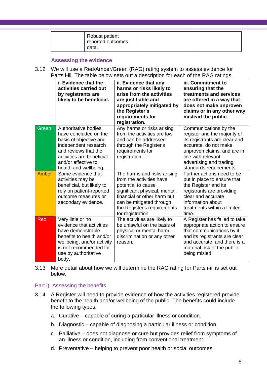| Robust patient<br>reported outcomes<br>data. |  |
|----------------------------------------------|--|
|                                              |  |

# <span id="page-5-0"></span>**Assessing the evidence**

3.12 We will use a Red/Amber/Green (RAG) rating system to assess evidence for Parts i-iii. The table below sets out a description for each of the RAG ratings.

|       | i. Evidence that the<br>activities carried out<br>by registrants are<br>likely to be beneficial.                                                                                                     | ii. Evidence that any<br>harms or risks likely to<br>arise from the activities<br>are justifiable and<br>appropriately mitigated by<br>the Register's<br>requirements for<br>registration.                                    | iii. Commitment to<br>ensuring that the<br>treatments and services<br>are offered in a way that<br>does not make unproven<br>claims or in any other way<br>mislead the public.                                             |
|-------|------------------------------------------------------------------------------------------------------------------------------------------------------------------------------------------------------|-------------------------------------------------------------------------------------------------------------------------------------------------------------------------------------------------------------------------------|----------------------------------------------------------------------------------------------------------------------------------------------------------------------------------------------------------------------------|
| Green | Authoritative bodies<br>have concluded on the<br>basis of objective and<br>independent research<br>and reviews that the<br>activities are beneficial<br>and/or effective to<br>health and wellbeing. | Any harms or risks arising<br>from the activities are low<br>and can be addressed<br>through the Register's<br>requirements for<br>registration.                                                                              | Communications by the<br>register and the majority of<br>its registrants are clear and<br>accurate, do not make<br>unproven claims, and are in<br>line with relevant<br>advertising and trading<br>standards requirements. |
| Amber | Some evidence that<br>activities may be<br>beneficial, but likely to<br>rely on patient-reported<br>outcome measures or<br>secondary evidence.                                                       | The harms and risks arising<br>from the activities have<br>potential to cause<br>significant physical, mental,<br>financial or other harm but<br>can be mitigated through<br>the Register's requirements<br>for registration. | Further actions need to be<br>put in place to ensure that<br>the Register and its<br>registrants are providing<br>clear and accurate<br>information about<br>treatments within a limited<br>time.                          |
| Red   | Very little or no<br>evidence that activities<br>have demonstrable<br>benefits to health and/or<br>wellbeing, and/or activity<br>is not recommended for<br>use by authoritative<br>body.             | The activities are likely to<br>be unlawful on the basis of<br>physical or mental harm,<br>discrimination or any other<br>reason.                                                                                             | A Register has failed to take<br>appropriate action to ensure<br>that communications by it<br>and its registrants are clear<br>and accurate, and there is a<br>material risk of the public<br>being misled.                |

3.13 More detail about how we will determine the RAG rating for Parts i-iii is set out below.

### Part i): Assessing the benefits

- 3.14 A Register will need to provide evidence of how the activities registered provide benefit to the health and/or wellbeing of the public. The benefits could include the following types:
	- a. Curative capable of curing a particular illness or condition.
	- b. Diagnostic capable of diagnosing a particular illness or condition.
	- c. Palliative does not diagnose or cure but provides relief from symptoms of an illness or condition, including from conventional treatment.
	- d. Preventative helping to prevent poor health or social outcomes.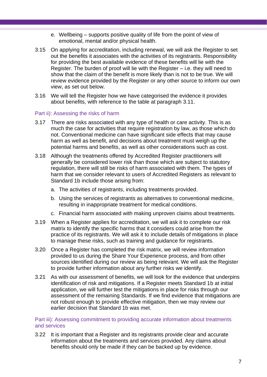- e. Wellbeing supports positive quality of life from the point of view of emotional, mental and/or physical health.
- 3.15 On applying for accreditation, including renewal, we will ask the Register to set out the benefits it associates with the activities of its registrants. Responsibility for providing the best available evidence of these benefits will lie with the Register. The burden of proof will lie with the Register – i.e. they will need to show that the claim of the benefit is more likely than is not to be true. We will review evidence provided by the Register or any other source to inform our own view, as set out below.
- 3.16 We will tell the Register how we have categorised the evidence it provides about benefits, with reference to the table at paragraph [3.11.](#page-4-0)

### Part ii): Assessing the risks of harm

- 3.17 There are risks associated with any type of health or care activity. This is as much the case for activities that require registration by law, as those which do not. Conventional medicine can have significant side effects that may cause harm as well as benefit, and decisions about treatment must weigh up the potential harms and benefits, as well as other considerations such as cost.
- 3.18 Although the treatments offered by Accredited Register practitioners will generally be considered lower risk than those which are subject to statutory regulation, there will still be risks of harm associated with them. The types of harm that we consider relevant to users of Accredited Registers as relevant to Standard 1b include those arising from:
	- a. The activities of registrants, including treatments provided.
	- b. Using the services of registrants as alternatives to conventional medicine, resulting in inappropriate treatment for medical conditions.
	- c. Financial harm associated with making unproven claims about treatments.
- 3.19 When a Register applies for accreditation, we will ask it to complete our risk matrix to identify the specific harms that it considers could arise from the practice of its registrants. We will ask it to include details of mitigations in place to manage these risks, such as training and guidance for registrants.
- 3.20 Once a Register has completed the risk matrix, we will review information provided to us during the Share Your Experience process, and from other sources identified during our review as being relevant. We will ask the Register to provide further information about any further risks we identify.
- 3.21 As with our assessment of benefits, we will look for the evidence that underpins identification of risk and mitigations. If a Register meets Standard 1b at initial application, we will further test the mitigations in place for risks through our assessment of the remaining Standards. If we find evidence that mitigations are not robust enough to provide effective mitigation, then we may review our earlier decision that Standard 1b was met.

### Part iii): Assessing commitment to providing accurate information about treatments and services

3.22 It is important that a Register and its registrants provide clear and accurate information about the treatments and services provided. Any claims about benefits should only be made if they can be backed up by evidence.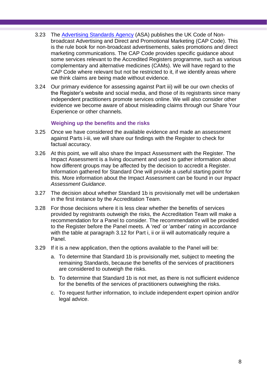- 3.23 The [Advertising Standards Agency](https://www.asa.org.uk/) (ASA) publishes the UK Code of Nonbroadcast Advertising and Direct and Promotional Marketing (CAP Code). This is the rule book for non-broadcast advertisements, sales promotions and direct marketing communications. The CAP Code provides specific guidance about some services relevant to the Accredited Registers programme, such as various complementary and alternative medicines (CAMs). We will have regard to the CAP Code where relevant but not be restricted to it, if we identify areas where we think claims are being made without evidence.
- 3.24 Our primary evidence for assessing against Part iii) will be our own checks of the Register's website and social media, and those of its registrants since many independent practitioners promote services online. We will also consider other evidence we become aware of about misleading claims through our Share Your Experience or other channels.

# **Weighing up the benefits and the risks**

- 3.25 Once we have considered the available evidence and made an assessment against Parts i-iii, we will share our findings with the Register to check for factual accuracy.
- 3.26 At this point, we will also share the Impact Assessment with the Register. The Impact Assessment is a living document and used to gather information about how different groups may be affected by the decision to accredit a Register. Information gathered for Standard One will provide a useful starting point for this. More information about the Impact Assessment can be found in our *Impact Assessment Guidance*.
- 3.27 The decision about whether Standard 1b is provisionally met will be undertaken in the first instance by the Accreditation Team.
- 3.28 For those decisions where it is less clear whether the benefits of services provided by registrants outweigh the risks, the Accreditation Team will make a recommendation for a Panel to consider. The recommendation will be provided to the Register before the Panel meets. A 'red' or 'amber' rating in accordance with the table at paragraph [3.12](#page-5-0) for Part i, ii or iii will automatically require a Panel.
- 3.29 If it is a new application, then the options available to the Panel will be:
	- a. To determine that Standard 1b is provisionally met, subject to meeting the remaining Standards, because the benefits of the services of practitioners are considered to outweigh the risks.
	- b. To determine that Standard 1b is not met, as there is not sufficient evidence for the benefits of the services of practitioners outweighing the risks.
	- c. To request further information, to include independent expert opinion and/or legal advice.